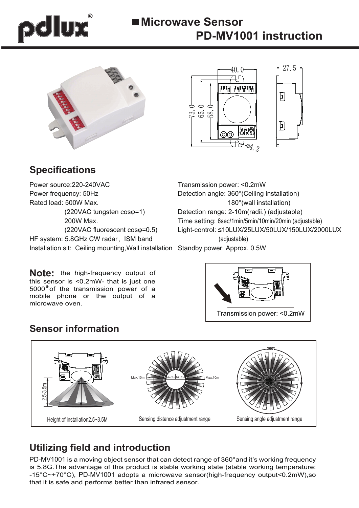# polux

# **Microwave Sensor PD-MV1001 instruction**





# **Specifications**

Power source:220-240VAC Power frequency: 50Hz Rated load: 500W Max. (220VAC tungsten cosφ=1) 200W Max. (220VAC fluorescent cosφ=0.5) HF system: 5.8GHz CW radar, ISM band Installation sit: Ceiling mounting,Wall installation Standby power: Approx. 0.5W

**Note:** the high-frequency output of this sensor is <0.2mW- that is just one  $5000<sup>th</sup>$  of the transmission power of a mobile phone or the output of a microwave oven.

Transmission power: <0.2mW Detection angle: 360°(Ceiling installation) 180°(wall installation) Detection range: 2-10m(radii.) (adjustable) Time setting: 6sec/1min/5min/10min/20min (adjustable) Light-control: ≤10LUX/25LUX/50LUX/150LUX/2000LUX (adjustable)



# **Sensor information**



# **Utilizing field and introduction**

PD-MV1001 is a moving object sensor that can detect range of 360°and it's working frequency is 5.8G.The advantage of this product is stable working state (stable working temperature: -15°C~+70°C), PD-MV1001 adopts a microwave sensor(high-frequency output<0.2mW),so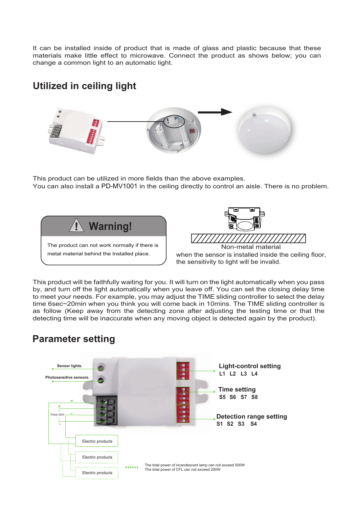It can be installed inside of product that is made of glass and plastic because that these materials make little effect to microwave. Connect the product as shows below; you can change a common light to an automatic light.

## **Utilized in ceiling light**



This product can be utilized in more fields than the above examples. You can also install a PD-MV1001 in the ceiling directly to control an aisle. There is no problem.





when the sensor is installed inside the ceiling floor, the sensitivity to light will be invalid.

This product will be faithfully waiting for you. It will turn on the light automatically when you pass by, and turn off the light automatically when you leave off. You can set the closing delay time to meet your needs. For example, you may adjust the TIME sliding controller to select the delay time 6sec~20min when you think you will come back in 10mins. The TIME sliding controller is as follow (Keep away from the detecting zone after adjusting the testing time or that the detecting time will be inaccurate when any moving object is detected again by the product).

## **Parameter setting**

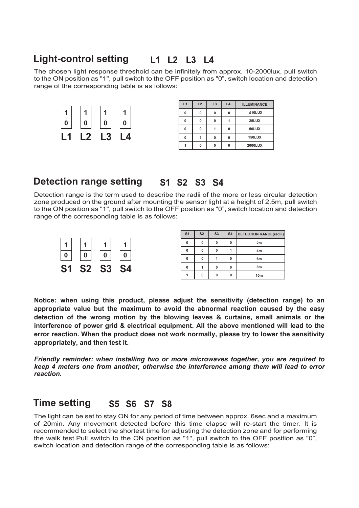### **Light-control setting** L1 L2 L3 L4

The chosen light response threshold can be infinitely from approx. 10-2000lux, pull switch to the ON position as "1", pull switch to the OFF position as "0", switch location and detection range of the corresponding table is as follows:



| L1 | L2 | L3 | L <sub>4</sub> | <b>ILLUMINANCE</b> |  |
|----|----|----|----------------|--------------------|--|
| 0  | O  | O  | 0              | ≤10LUX             |  |
| 0  | O  | n  |                | 25LUX              |  |
| 0  | O  |    | 0              | 50LUX              |  |
| 0  |    | O  | 0              | <b>150LUX</b>      |  |
|    | O  | n  | 0              | 2000LUX            |  |

#### **Detection range setting S4**

Detection range is the term used to describe the radii of the more or less circular detection zone produced on the ground after mounting the sensor light at a height of 2.5m, pull switch to the ON position as "1", pull switch to the OFF position as "0", switch location and detection range of the corresponding table is as follows:



| S <sub>1</sub> | S <sub>2</sub> | S <sub>3</sub> | S <sub>4</sub> | <b>DETECTION RANGE(radii.)</b> |  |
|----------------|----------------|----------------|----------------|--------------------------------|--|
| 0              | $\Omega$       | n              | O              | 2m                             |  |
| 0              | $\Omega$       | Û              |                | 4 <sub>m</sub>                 |  |
| $\bf{0}$       | $\Omega$       |                | O              | 6m                             |  |
| 0              |                | O              | 0              | 8m                             |  |
|                | n              |                | 0              | 10 <sub>m</sub>                |  |

**Notice: when using this product, please adjust the sensitivity (detection range) to an appropriate value but the maximum to avoid the abnormal reaction caused by the easy detection of the wrong motion by the blowing leaves & curtains, small animals or the interference of power grid & electrical equipment. All the above mentioned will lead to the error reaction. When the product does not work normally, please try to lower the sensitivity appropriately, and then test it.** 

*Friendly reminder: when installing two or more microwaves together, you are required to keep 4 meters one from another, otherwise the interference among them will lead to error reaction.*

#### **Time setting**S5 S6 S7 S8

The light can be set to stay ON for any period of time between approx. 6sec and a maximum of 20min. Any movement detected before this time elapse will re-start the timer. It is recommended to select the shortest time for adjusting the detection zone and for performing the walk test.Pull switch to the ON position as "1", pull switch to the OFF position as "0", switch location and detection range of the corresponding table is as follows: